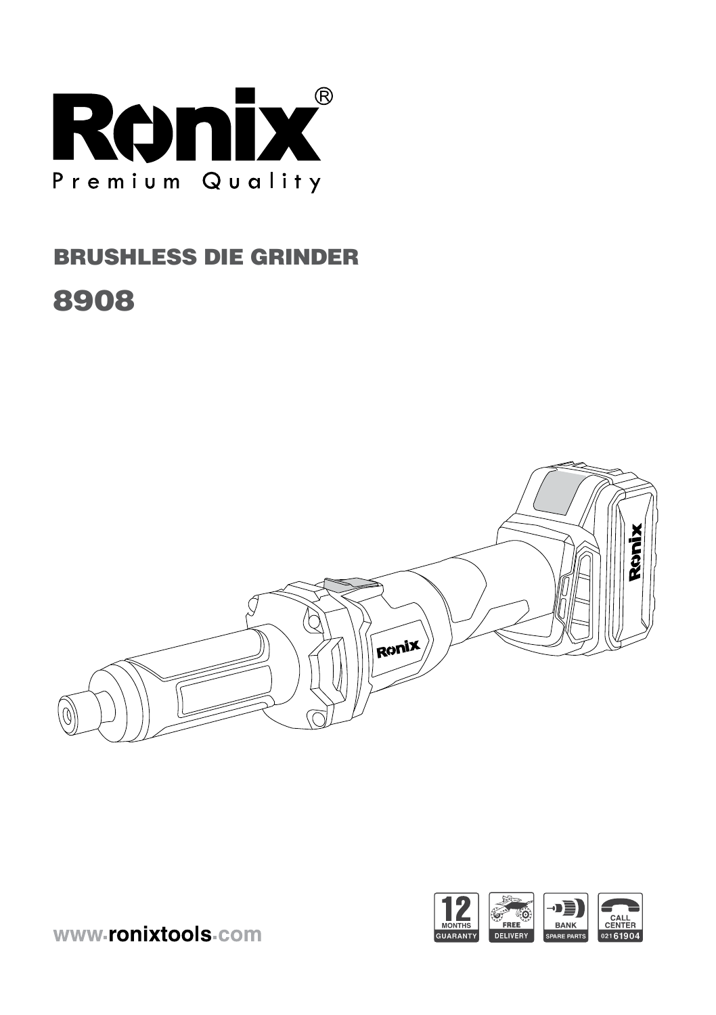

## BRUSHLESS DIE GRINDER 8908





www-ronixtools-com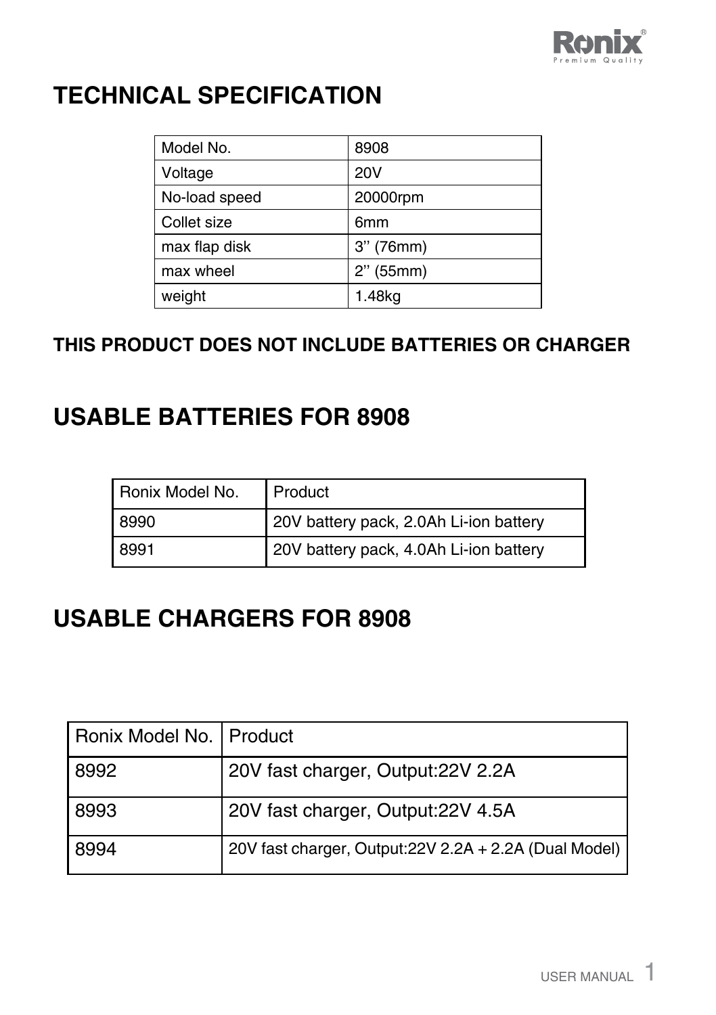

## **TECHNICAL SPECIFICATION**

| Model No.     | 8908         |
|---------------|--------------|
| Voltage       | <b>20V</b>   |
| No-load speed | 20000rpm     |
| Collet size   | 6mm          |
| max flap disk | $3''$ (76mm) |
| max wheel     | $2"$ (55mm)  |
| weight        | 1.48kg       |

### **THIS PRODUCT DOES NOT INCLUDE BATTERIES OR CHARGER**

### **USABLE BATTERIES FOR 8908**

| l Ronix Model No. | I Product                              |
|-------------------|----------------------------------------|
| । 8990            | 20V battery pack, 2.0Ah Li-ion battery |
| l 8991            | 20V battery pack, 4.0Ah Li-ion battery |

## **USABLE CHARGERS FOR 8908**

| Ronix Model No.   Product |                                                        |
|---------------------------|--------------------------------------------------------|
| 8992                      | 20V fast charger, Output:22V 2.2A                      |
| 8993                      | 20V fast charger, Output:22V 4.5A                      |
| 8994                      | 20V fast charger, Output: 22V 2.2A + 2.2A (Dual Model) |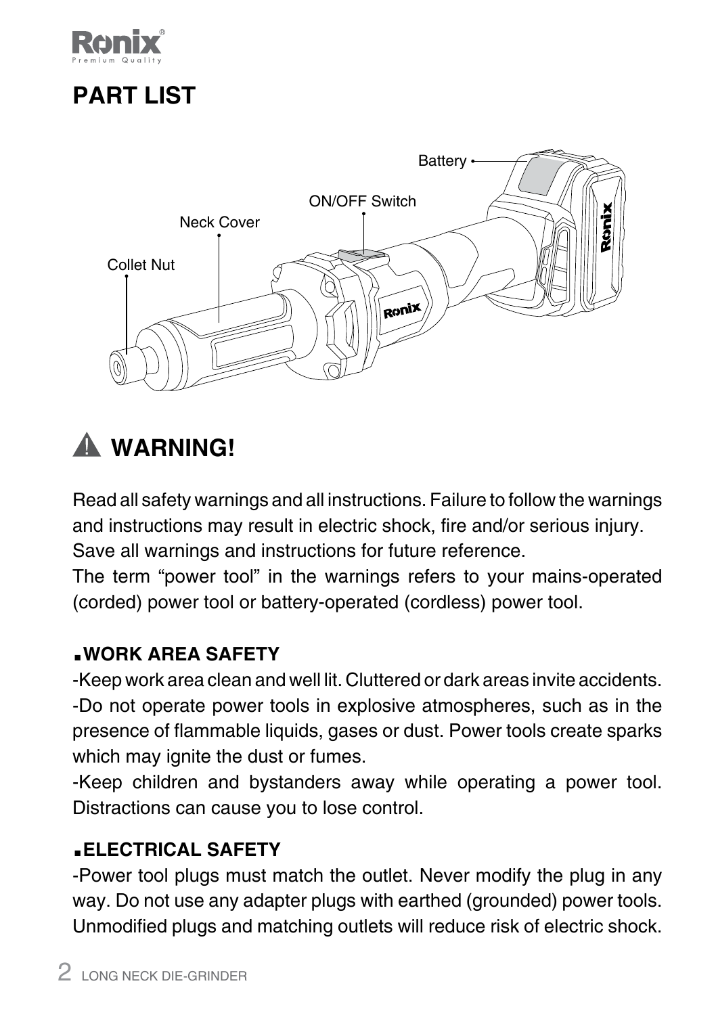

## **PART LIST**



# **WARNING!**

Read all safety warnings and all instructions. Failure to follow the warnings and instructions may result in electric shock, fire and/or serious injury. Save all warnings and instructions for future reference.

The term "power tool" in the warnings refers to your mains-operated (corded) power tool or battery-operated (cordless) power tool.

#### **.WORK AREA SAFETY**

-Keep work area clean and well lit. Cluttered or dark areas invite accidents. -Do not operate power tools in explosive atmospheres, such as in the presence of flammable liquids, gases or dust. Power tools create sparks which may ignite the dust or fumes.

-Keep children and bystanders away while operating a power tool. Distractions can cause you to lose control.

#### **.ELECTRICAL SAFETY**

-Power tool plugs must match the outlet. Never modify the plug in any way. Do not use any adapter plugs with earthed (grounded) power tools. Unmodified plugs and matching outlets will reduce risk of electric shock.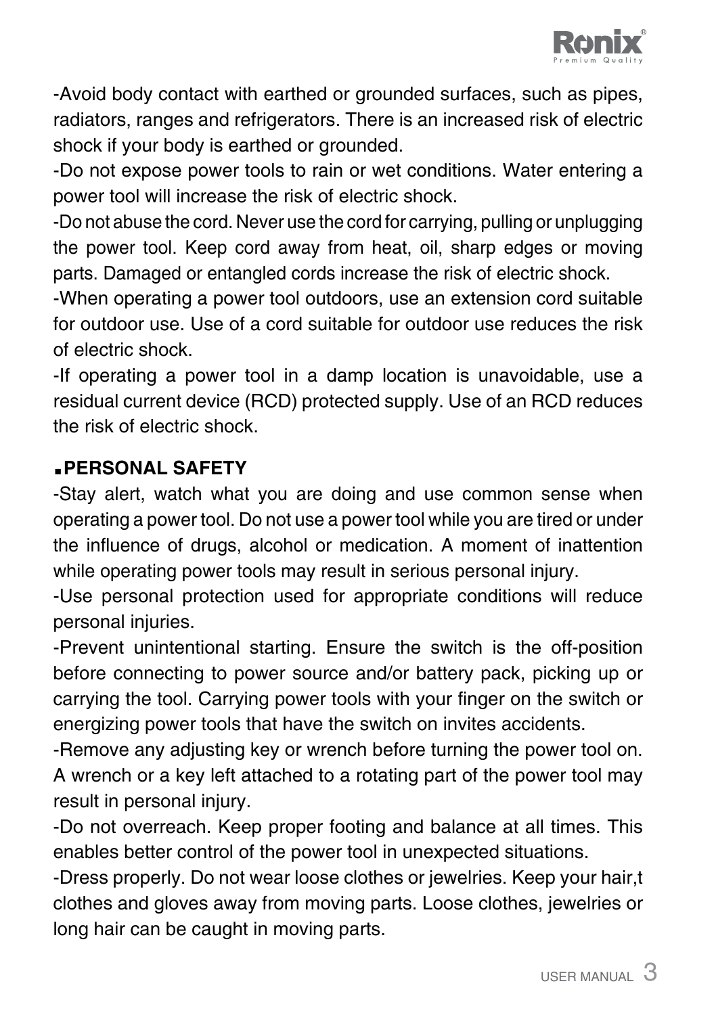

-Avoid body contact with earthed or grounded surfaces, such as pipes, radiators, ranges and refrigerators. There is an increased risk of electric shock if your body is earthed or grounded.

-Do not expose power tools to rain or wet conditions. Water entering a power tool will increase the risk of electric shock.

-Do not abuse the cord. Never use the cord for carrying, pulling or unplugging the power tool. Keep cord away from heat, oil, sharp edges or moving parts. Damaged or entangled cords increase the risk of electric shock.

-When operating a power tool outdoors, use an extension cord suitable for outdoor use. Use of a cord suitable for outdoor use reduces the risk of electric shock.

-If operating a power tool in a damp location is unavoidable, use a residual current device (RCD) protected supply. Use of an RCD reduces the risk of electric shock.

#### **.PERSONAL SAFETY**

-Stay alert, watch what you are doing and use common sense when operating a power tool. Do not use a power tool while you are tired or under the influence of drugs, alcohol or medication. A moment of inattention while operating power tools may result in serious personal injury.

-Use personal protection used for appropriate conditions will reduce personal injuries.

-Prevent unintentional starting. Ensure the switch is the off-position before connecting to power source and/or battery pack, picking up or carrying the tool. Carrying power tools with your finger on the switch or energizing power tools that have the switch on invites accidents.

-Remove any adjusting key or wrench before turning the power tool on. A wrench or a key left attached to a rotating part of the power tool may result in personal injury.

-Do not overreach. Keep proper footing and balance at all times. This enables better control of the power tool in unexpected situations.

-Dress properly. Do not wear loose clothes or jewelries. Keep your hair,t clothes and gloves away from moving parts. Loose clothes, jewelries or long hair can be caught in moving parts.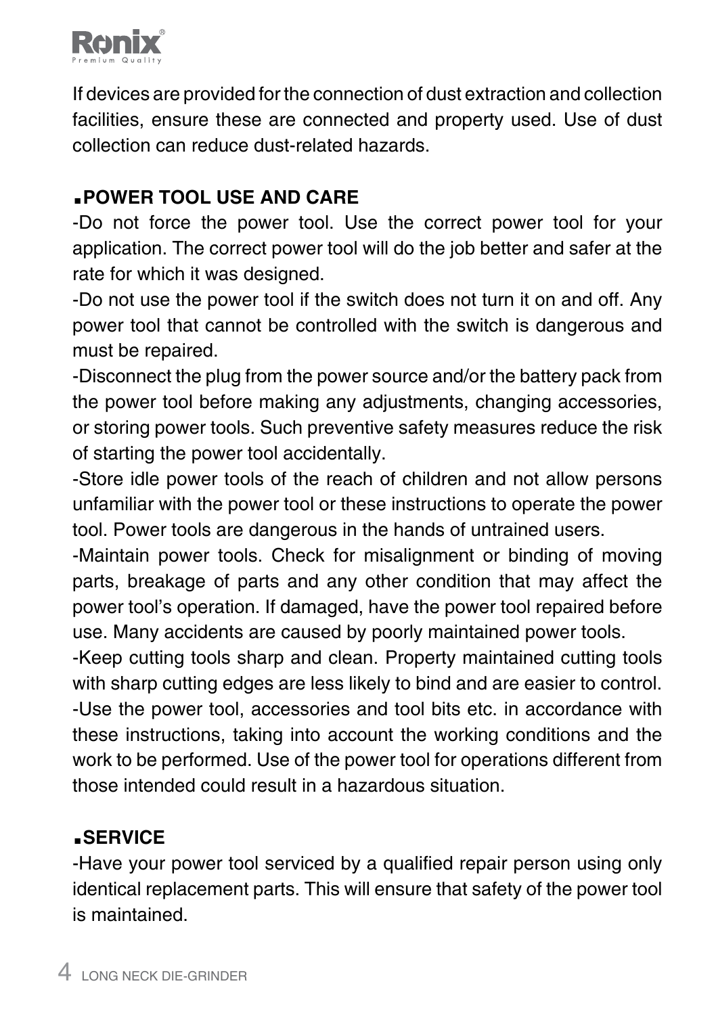

If devices are provided for the connection of dust extraction and collection facilities, ensure these are connected and property used. Use of dust collection can reduce dust-related hazards.

#### **.POWER TOOL USE AND CARE**

-Do not force the power tool. Use the correct power tool for your application. The correct power tool will do the job better and safer at the rate for which it was designed.

-Do not use the power tool if the switch does not turn it on and off. Any power tool that cannot be controlled with the switch is dangerous and must be repaired.

-Disconnect the plug from the power source and/or the battery pack from the power tool before making any adjustments, changing accessories, or storing power tools. Such preventive safety measures reduce the risk of starting the power tool accidentally.

-Store idle power tools of the reach of children and not allow persons unfamiliar with the power tool or these instructions to operate the power tool. Power tools are dangerous in the hands of untrained users.

-Maintain power tools. Check for misalignment or binding of moving parts, breakage of parts and any other condition that may affect the power tool's operation. If damaged, have the power tool repaired before use. Many accidents are caused by poorly maintained power tools.

-Keep cutting tools sharp and clean. Property maintained cutting tools with sharp cutting edges are less likely to bind and are easier to control. -Use the power tool, accessories and tool bits etc. in accordance with these instructions, taking into account the working conditions and the work to be performed. Use of the power tool for operations different from those intended could result in a hazardous situation.

#### **.SERVICE**

-Have your power tool serviced by a qualified repair person using only identical replacement parts. This will ensure that safety of the power tool is maintained.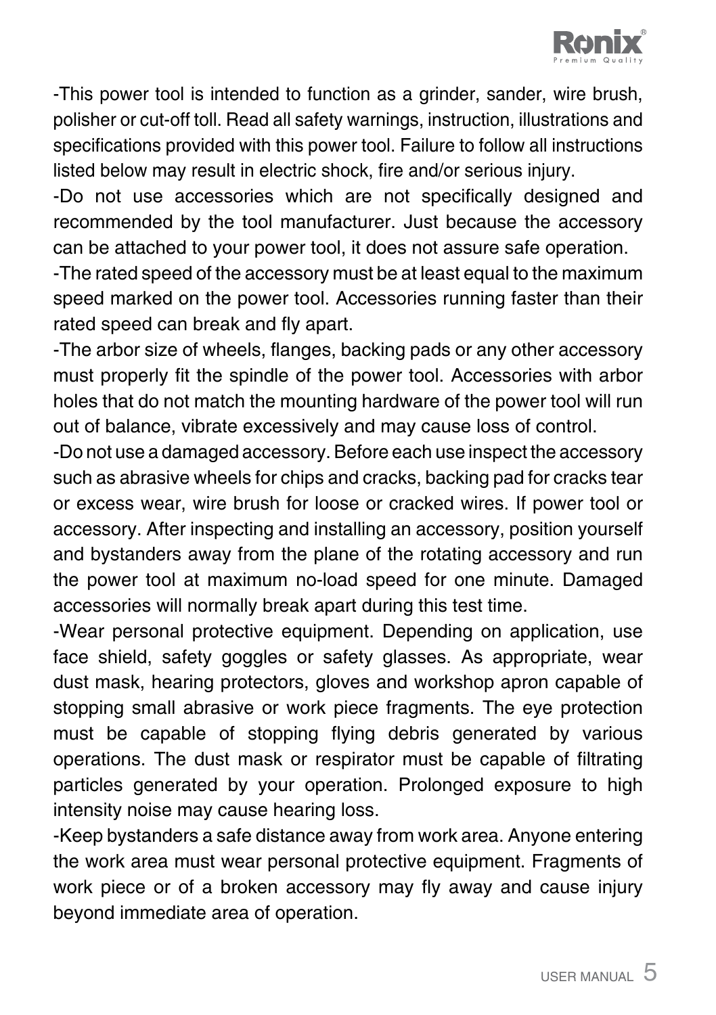

-This power tool is intended to function as a grinder, sander, wire brush, polisher or cut-off toll. Read all safety warnings, instruction, illustrations and specifications provided with this power tool. Failure to follow all instructions listed below may result in electric shock, fire and/or serious injury.

-Do not use accessories which are not specifically designed and recommended by the tool manufacturer. Just because the accessory can be attached to your power tool, it does not assure safe operation.

-The rated speed of the accessory must be at least equal to the maximum speed marked on the power tool. Accessories running faster than their rated speed can break and fly apart.

-The arbor size of wheels, flanges, backing pads or any other accessory must properly fit the spindle of the power tool. Accessories with arbor holes that do not match the mounting hardware of the power tool will run out of balance, vibrate excessively and may cause loss of control.

-Do not use a damaged accessory. Before each use inspect the accessory such as abrasive wheels for chips and cracks, backing pad for cracks tear or excess wear, wire brush for loose or cracked wires. If power tool or accessory. After inspecting and installing an accessory, position yourself and bystanders away from the plane of the rotating accessory and run the power tool at maximum no-load speed for one minute. Damaged accessories will normally break apart during this test time.

-Wear personal protective equipment. Depending on application, use face shield, safety goggles or safety glasses. As appropriate, wear dust mask, hearing protectors, gloves and workshop apron capable of stopping small abrasive or work piece fragments. The eye protection must be capable of stopping flying debris generated by various operations. The dust mask or respirator must be capable of filtrating particles generated by your operation. Prolonged exposure to high intensity noise may cause hearing loss.

-Keep bystanders a safe distance away from work area. Anyone entering the work area must wear personal protective equipment. Fragments of work piece or of a broken accessory may fly away and cause injury beyond immediate area of operation.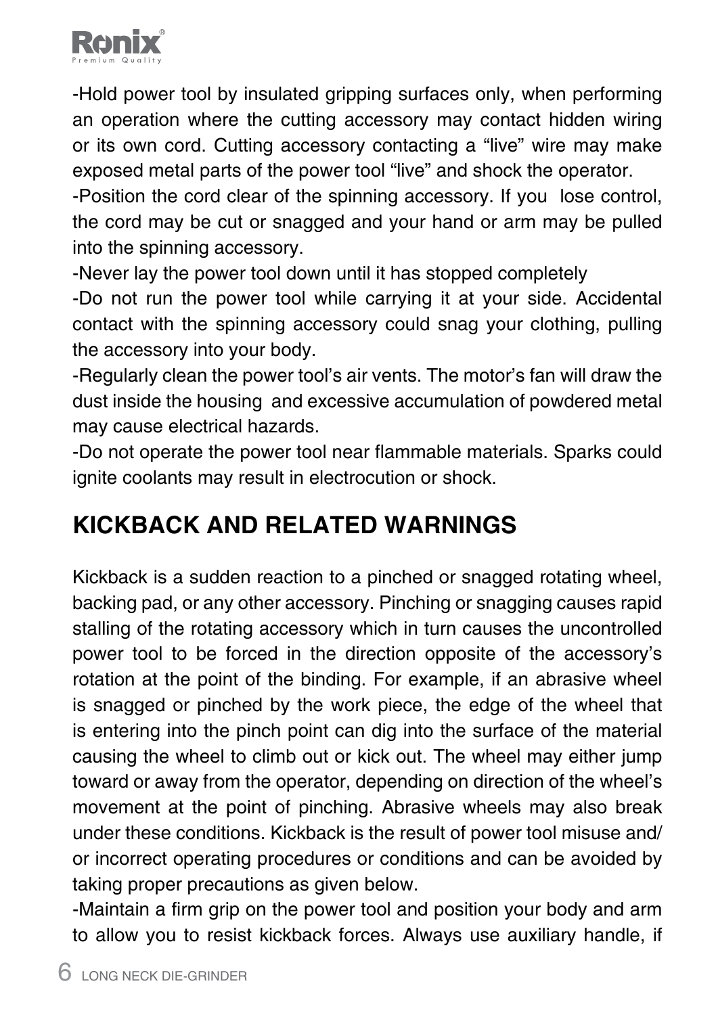

-Hold power tool by insulated gripping surfaces only, when performing an operation where the cutting accessory may contact hidden wiring or its own cord. Cutting accessory contacting a "live" wire may make exposed metal parts of the power tool "live" and shock the operator.

-Position the cord clear of the spinning accessory. If you lose control, the cord may be cut or snagged and your hand or arm may be pulled into the spinning accessory.

-Never lay the power tool down until it has stopped completely

-Do not run the power tool while carrying it at your side. Accidental contact with the spinning accessory could snag your clothing, pulling the accessory into your body.

-Regularly clean the power tool's air vents. The motor's fan will draw the dust inside the housing and excessive accumulation of powdered metal may cause electrical hazards.

-Do not operate the power tool near flammable materials. Sparks could ignite coolants may result in electrocution or shock.

## **KICKBACK AND RELATED WARNINGS**

Kickback is a sudden reaction to a pinched or snagged rotating wheel, backing pad, or any other accessory. Pinching or snagging causes rapid stalling of the rotating accessory which in turn causes the uncontrolled power tool to be forced in the direction opposite of the accessory's rotation at the point of the binding. For example, if an abrasive wheel is snagged or pinched by the work piece, the edge of the wheel that is entering into the pinch point can dig into the surface of the material causing the wheel to climb out or kick out. The wheel may either jump toward or away from the operator, depending on direction of the wheel's movement at the point of pinching. Abrasive wheels may also break under these conditions. Kickback is the result of power tool misuse and/ or incorrect operating procedures or conditions and can be avoided by taking proper precautions as given below.

-Maintain a firm grip on the power tool and position your body and arm to allow you to resist kickback forces. Always use auxiliary handle, if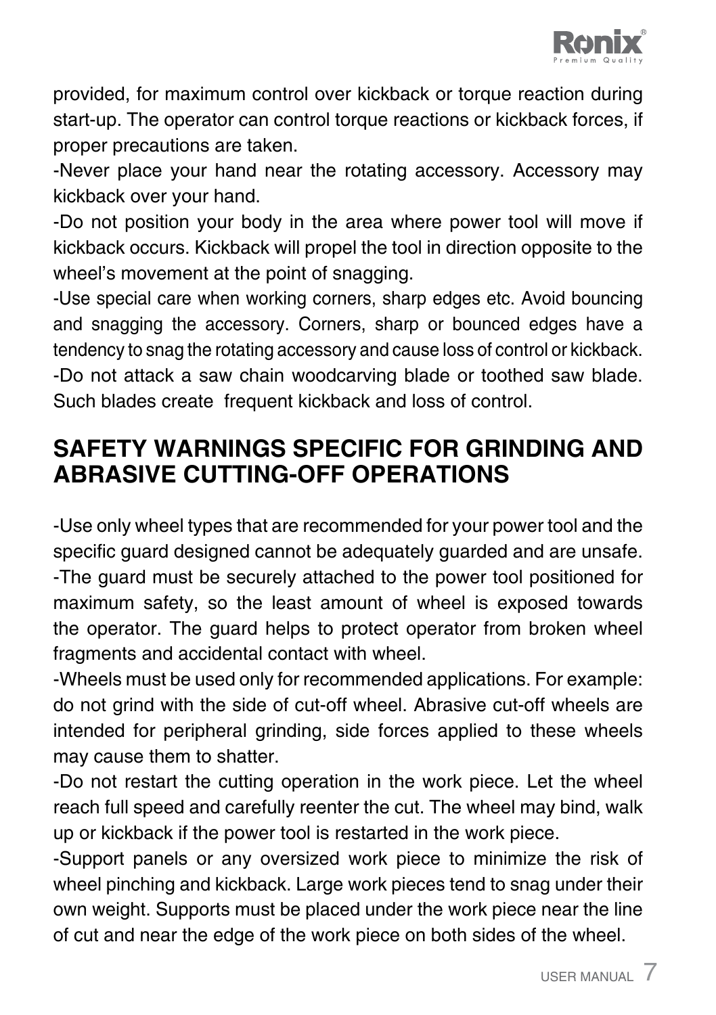

provided, for maximum control over kickback or torque reaction during start-up. The operator can control torque reactions or kickback forces, if proper precautions are taken.

-Never place your hand near the rotating accessory. Accessory may kickback over your hand.

-Do not position your body in the area where power tool will move if kickback occurs. Kickback will propel the tool in direction opposite to the wheel's movement at the point of snagging.

-Use special care when working corners, sharp edges etc. Avoid bouncing and snagging the accessory. Corners, sharp or bounced edges have a tendency to snag the rotating accessory and cause loss of control or kickback. -Do not attack a saw chain woodcarving blade or toothed saw blade. Such blades create frequent kickback and loss of control.

### **SAFETY WARNINGS SPECIFIC FOR GRINDING AND ABRASIVE CUTTING-OFF OPERATIONS**

-Use only wheel types that are recommended for your power tool and the specific guard designed cannot be adequately guarded and are unsafe. -The guard must be securely attached to the power tool positioned for maximum safety, so the least amount of wheel is exposed towards the operator. The guard helps to protect operator from broken wheel fragments and accidental contact with wheel.

-Wheels must be used only for recommended applications. For example: do not grind with the side of cut-off wheel. Abrasive cut-off wheels are intended for peripheral grinding, side forces applied to these wheels may cause them to shatter.

-Do not restart the cutting operation in the work piece. Let the wheel reach full speed and carefully reenter the cut. The wheel may bind, walk up or kickback if the power tool is restarted in the work piece.

-Support panels or any oversized work piece to minimize the risk of wheel pinching and kickback. Large work pieces tend to snag under their own weight. Supports must be placed under the work piece near the line of cut and near the edge of the work piece on both sides of the wheel.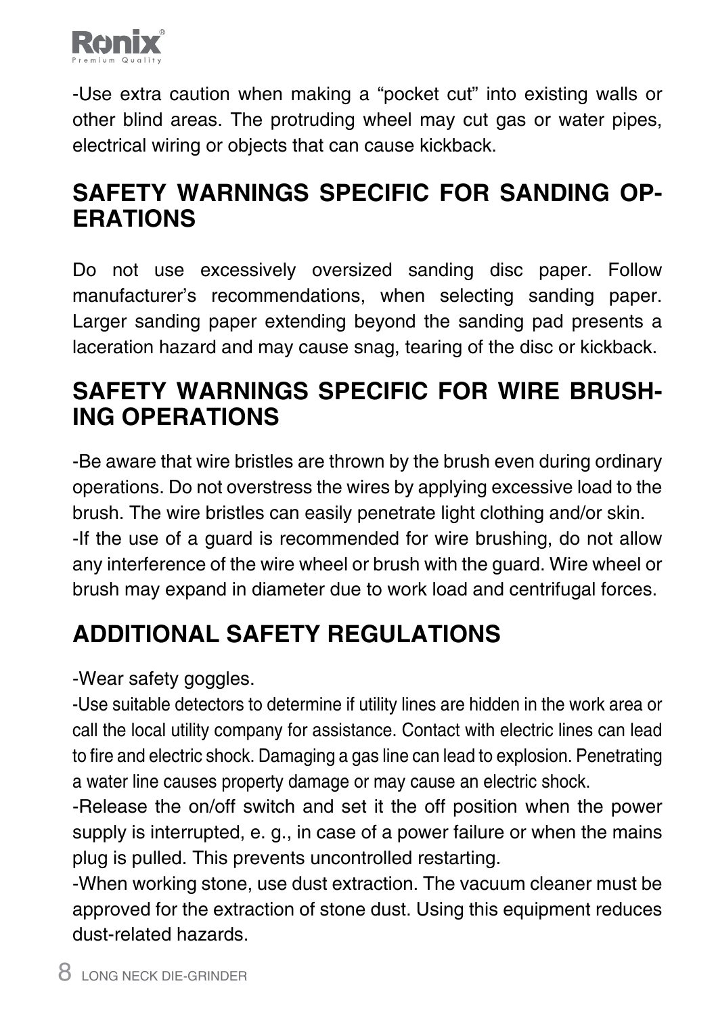

-Use extra caution when making a "pocket cut" into existing walls or other blind areas. The protruding wheel may cut gas or water pipes, electrical wiring or objects that can cause kickback.

### **SAFETY WARNINGS SPECIFIC FOR SANDING OP-ERATIONS**

Do not use excessively oversized sanding disc paper. Follow manufacturer's recommendations, when selecting sanding paper. Larger sanding paper extending beyond the sanding pad presents a laceration hazard and may cause snag, tearing of the disc or kickback.

### **SAFETY WARNINGS SPECIFIC FOR WIRE BRUSH-ING OPERATIONS**

-Be aware that wire bristles are thrown by the brush even during ordinary operations. Do not overstress the wires by applying excessive load to the brush. The wire bristles can easily penetrate light clothing and/or skin. -If the use of a guard is recommended for wire brushing, do not allow any interference of the wire wheel or brush with the guard. Wire wheel or brush may expand in diameter due to work load and centrifugal forces.

## **ADDITIONAL SAFETY REGULATIONS**

-Wear safety goggles.

-Use suitable detectors to determine if utility lines are hidden in the work area or call the local utility company for assistance. Contact with electric lines can lead to fire and electric shock. Damaging a gas line can lead to explosion. Penetrating a water line causes property damage or may cause an electric shock.

-Release the on/off switch and set it the off position when the power supply is interrupted, e. g., in case of a power failure or when the mains plug is pulled. This prevents uncontrolled restarting.

-When working stone, use dust extraction. The vacuum cleaner must be approved for the extraction of stone dust. Using this equipment reduces dust-related hazards.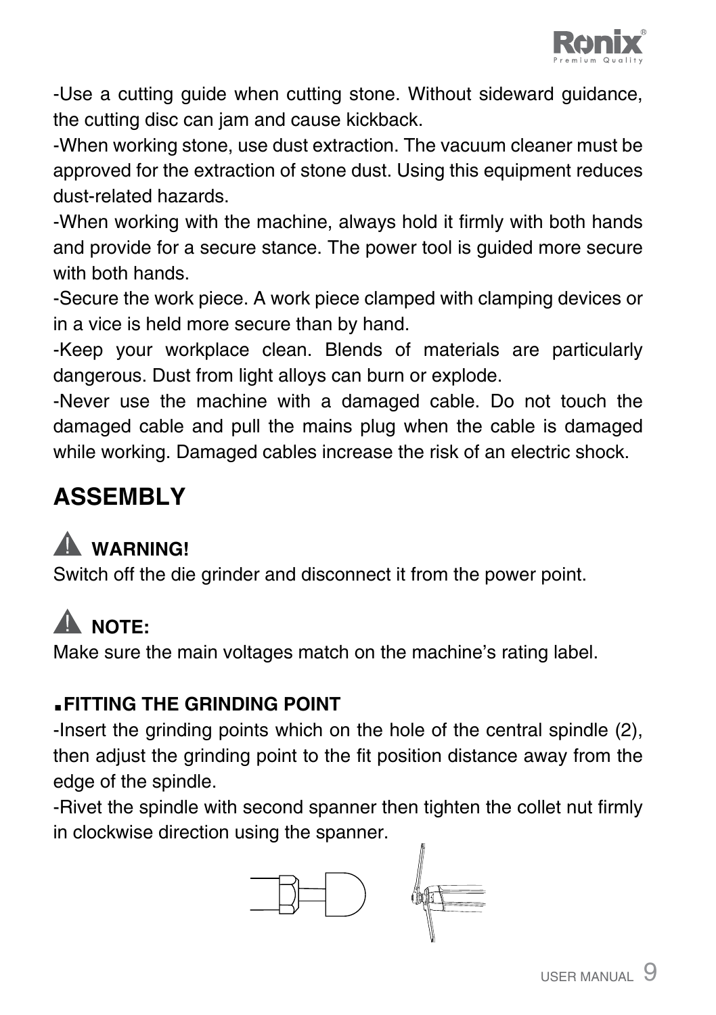

-Use a cutting guide when cutting stone. Without sideward guidance, the cutting disc can jam and cause kickback.

-When working stone, use dust extraction. The vacuum cleaner must be approved for the extraction of stone dust. Using this equipment reduces dust-related hazards.

-When working with the machine, always hold it firmly with both hands and provide for a secure stance. The power tool is guided more secure with both hands.

-Secure the work piece. A work piece clamped with clamping devices or in a vice is held more secure than by hand.

-Keep your workplace clean. Blends of materials are particularly dangerous. Dust from light alloys can burn or explode.

-Never use the machine with a damaged cable. Do not touch the damaged cable and pull the mains plug when the cable is damaged while working. Damaged cables increase the risk of an electric shock.

## **ASSEMBLY**

## **A** WARNING!

Switch off the die grinder and disconnect it from the power point.

# **A** NOTE:

Make sure the main voltages match on the machine's rating label.

### **.FITTING THE GRINDING POINT**

-Insert the grinding points which on the hole of the central spindle (2), then adjust the grinding point to the fit position distance away from the edge of the spindle.

-Rivet the spindle with second spanner then tighten the collet nut firmly in clockwise direction using the spanner.

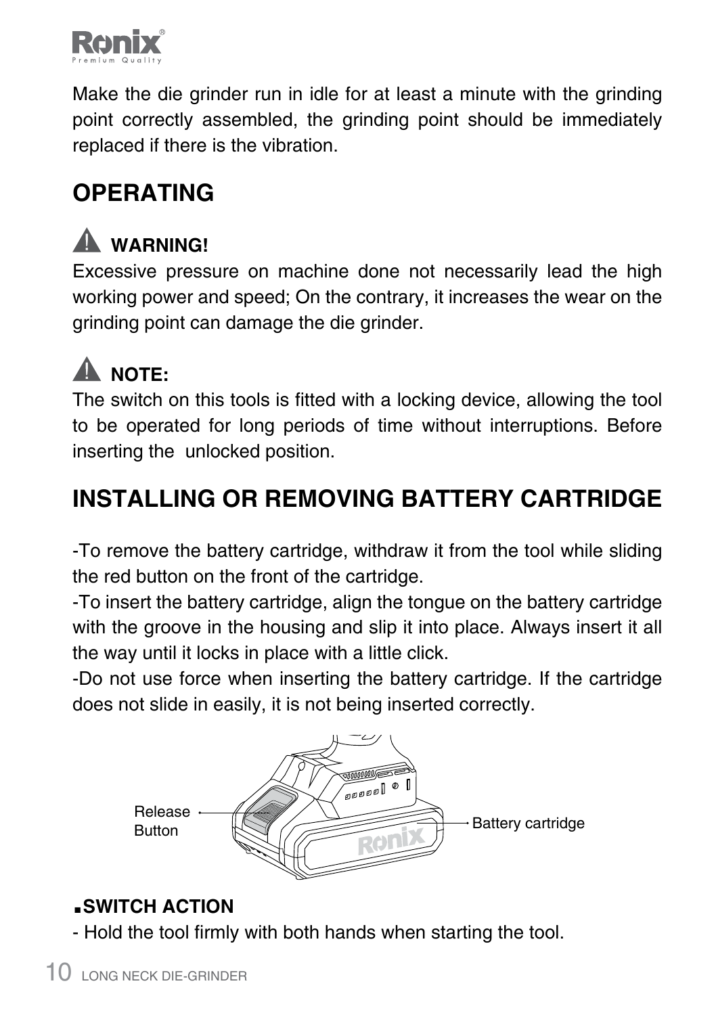

Make the die grinder run in idle for at least a minute with the grinding point correctly assembled, the grinding point should be immediately replaced if there is the vibration.

## **OPERATING**

## **A** WARNING!

Excessive pressure on machine done not necessarily lead the high working power and speed; On the contrary, it increases the wear on the grinding point can damage the die grinder.

## **A** NOTE:

The switch on this tools is fitted with a locking device, allowing the tool to be operated for long periods of time without interruptions. Before inserting the unlocked position.

## **INSTALLING OR REMOVING BATTERY CARTRIDGE**

-To remove the battery cartridge, withdraw it from the tool while sliding the red button on the front of the cartridge.

-To insert the battery cartridge, align the tongue on the battery cartridge with the groove in the housing and slip it into place. Always insert it all the way until it locks in place with a little click.

-Do not use force when inserting the battery cartridge. If the cartridge does not slide in easily, it is not being inserted correctly.



#### **.SWITCH ACTION**

- Hold the tool firmly with both hands when starting the tool.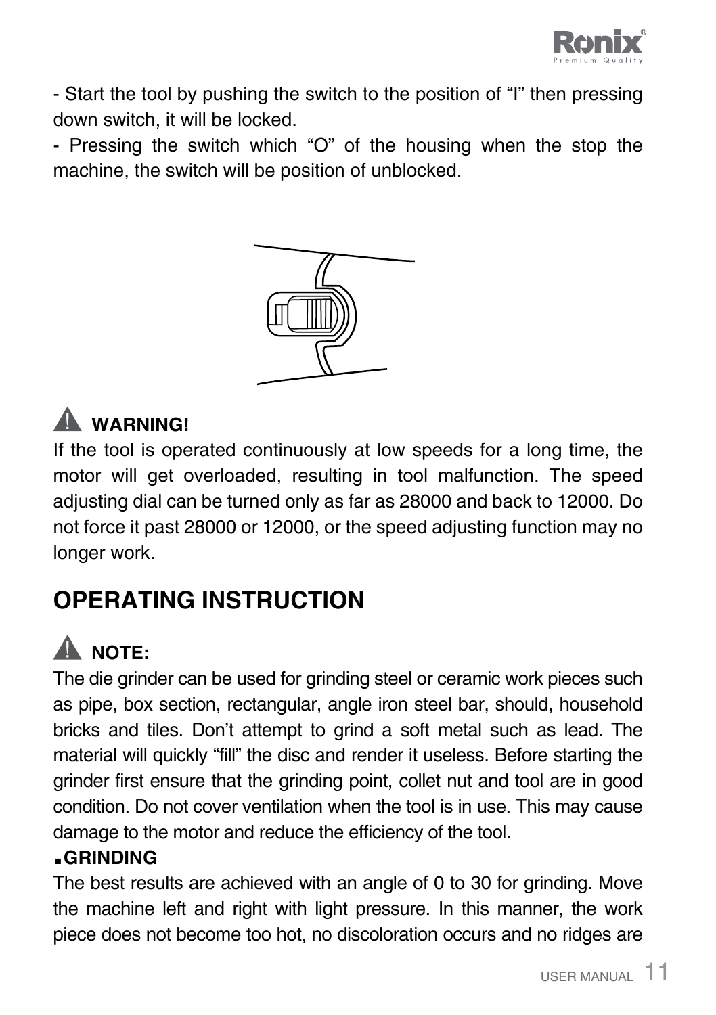

- Start the tool by pushing the switch to the position of "I" then pressing down switch, it will be locked.

- Pressing the switch which "O" of the housing when the stop the machine, the switch will be position of unblocked.



## **WARNING!**

If the tool is operated continuously at low speeds for a long time, the motor will get overloaded, resulting in tool malfunction. The speed adjusting dial can be turned only as far as 28000 and back to 12000. Do not force it past 28000 or 12000, or the speed adjusting function may no longer work.

## **OPERATING INSTRUCTION**

# **NOTE:**

The die grinder can be used for grinding steel or ceramic work pieces such as pipe, box section, rectangular, angle iron steel bar, should, household bricks and tiles. Don't attempt to grind a soft metal such as lead. The material will quickly "fill" the disc and render it useless. Before starting the grinder first ensure that the grinding point, collet nut and tool are in good condition. Do not cover ventilation when the tool is in use. This may cause damage to the motor and reduce the efficiency of the tool.

#### **.GRINDING**

The best results are achieved with an angle of 0 to 30 for grinding. Move the machine left and right with light pressure. In this manner, the work piece does not become too hot, no discoloration occurs and no ridges are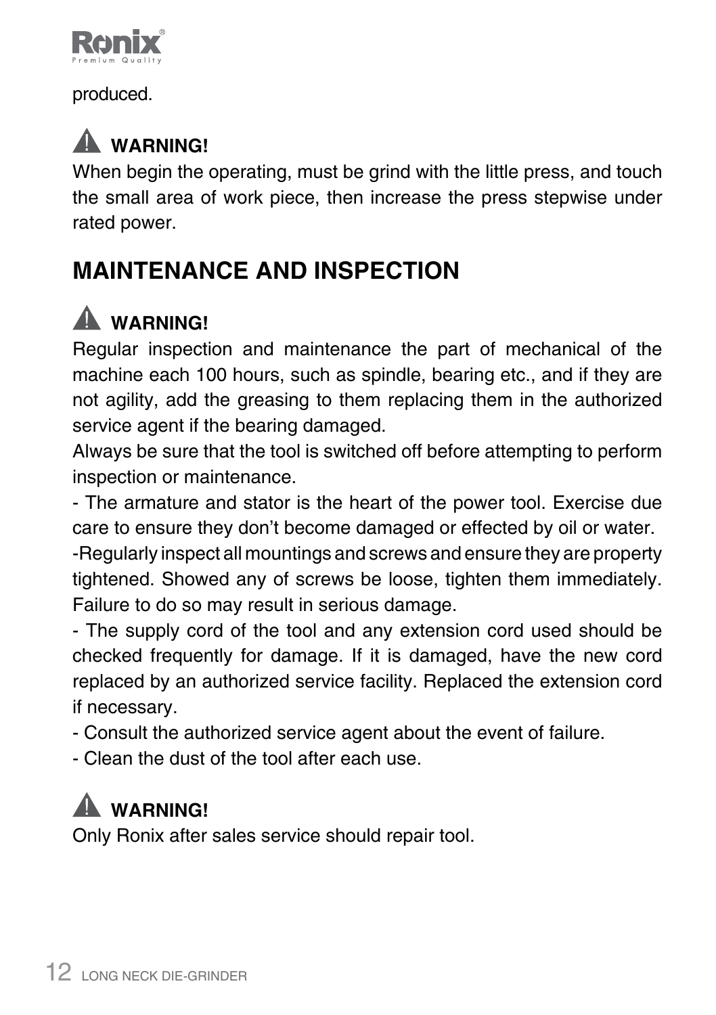

produced.

## **A** WARNING!

When begin the operating, must be grind with the little press, and touch the small area of work piece, then increase the press stepwise under rated power.

## **MAINTENANCE AND INSPECTION**

## **WARNING!**

Regular inspection and maintenance the part of mechanical of the machine each 100 hours, such as spindle, bearing etc., and if they are not agility, add the greasing to them replacing them in the authorized service agent if the bearing damaged.

Always be sure that the tool is switched off before attempting to perform inspection or maintenance.

- The armature and stator is the heart of the power tool. Exercise due care to ensure they don't become damaged or effected by oil or water.

-Regularly inspect all mountings and screws and ensure they are property tightened. Showed any of screws be loose, tighten them immediately. Failure to do so may result in serious damage.

- The supply cord of the tool and any extension cord used should be checked frequently for damage. If it is damaged, have the new cord replaced by an authorized service facility. Replaced the extension cord if necessary.

- Consult the authorized service agent about the event of failure.

- Clean the dust of the tool after each use.

# **A** WARNING!

Only Ronix after sales service should repair tool.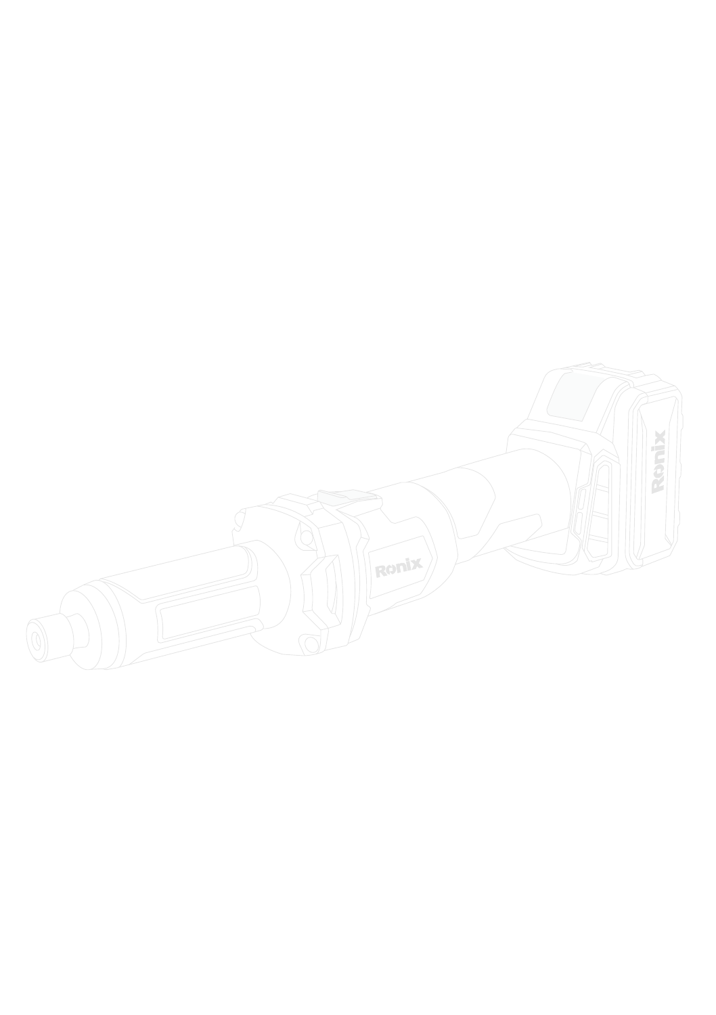